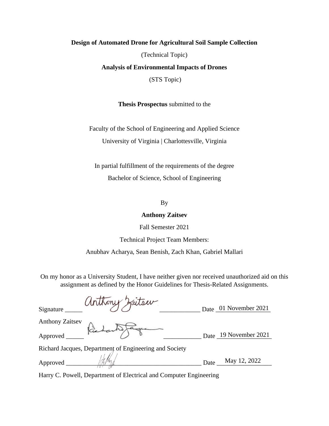#### **Design of Automated Drone for Agricultural Soil Sample Collection**

(Technical Topic)

**Analysis of Environmental Impacts of Drones**

(STS Topic)

**Thesis Prospectus** submitted to the

Faculty of the School of Engineering and Applied Science University of Virginia | Charlottesville, Virginia

In partial fulfillment of the requirements of the degree Bachelor of Science, School of Engineering

By

#### **Anthony Zaitsev**

Fall Semester 2021

Technical Project Team Members:

Anubhav Acharya, Sean Benish, Zach Khan, Gabriel Mallari

On my honor as a University Student, I have neither given nor received unauthorized aid on this assignment as defined by the Honor Guidelines for Thesis-Related Assignments.

| anthony Zaiter<br>Signature $_{-}$                     |      | Date 01 November 2021 |
|--------------------------------------------------------|------|-----------------------|
| <b>Anthony Zaitsev</b>                                 |      |                       |
| Approved Richard Fague                                 |      | Date 19 November 2021 |
| Richard Jacques, Department of Engineering and Society |      |                       |
| Approved __                                            | Date | May 12, 2022          |

Harry C. Powell, Department of Electrical and Computer Engineering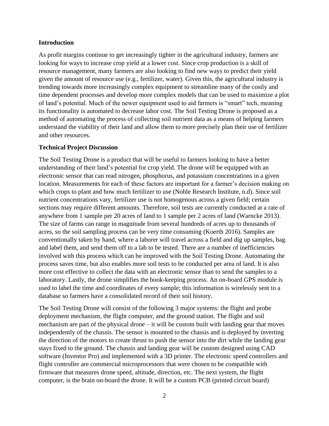## **Introduction**

As profit margins continue to get increasingly tighter in the agricultural industry, farmers are looking for ways to increase crop yield at a lower cost. Since crop production is a skill of resource management, many farmers are also looking to find new ways to predict their yield given the amount of resource use (e.g., fertilizer, water). Given this, the agricultural industry is trending towards more increasingly complex equipment to streamline many of the costly and time dependent processes and develop more complex models that can be used to maximize a plot of land's potential. Much of the newer equipment used to aid farmers is "smart" tech, meaning its functionality is automated to decrease labor cost. The Soil Testing Drone is proposed as a method of automating the process of collecting soil nutrient data as a means of helping farmers understand the viability of their land and allow them to more precisely plan their use of fertilizer and other resources.

## **Technical Project Discussion**

The Soil Testing Drone is a product that will be useful to farmers looking to have a better understanding of their land's potential for crop yield. The drone will be equipped with an electronic sensor that can read nitrogen, phosphorus, and potassium concentrations in a given location. Measurements for each of these factors are important for a farmer's decision making on which crops to plant and how much fertilizer to use (Noble Research Institute, n.d). Since soil nutrient concentrations vary, fertilizer use is not homogenous across a given field; certain sections may require different amounts. Therefore, soil tests are currently conducted at a rate of anywhere from 1 sample per 20 acres of land to 1 sample per 2 acres of land (Warncke 2013). The size of farms can range in magnitude from several hundreds of acres up to thousands of acres, so the soil sampling process can be very time consuming (Koerth 2016). Samples are conventionally taken by hand, where a laborer will travel across a field and dig up samples, bag and label them, and send them off to a lab to be tested. There are a number of inefficiencies involved with this process which can be improved with the Soil Testing Drone. Automating the process saves time, but also enables more soil tests to be conducted per area of land. It is also more cost effective to collect the data with an electronic sensor than to send the samples to a laboratory. Lastly, the drone simplifies the book-keeping process. An on-board GPS module is used to label the time and coordinates of every sample; this information is wirelessly sent to a database so farmers have a consolidated record of their soil history.

The Soil Testing Drone will consist of the following 3 major systems: the flight and probe deployment mechanism, the flight computer, and the ground station. The flight and soil mechanism are part of the physical drone – it will be custom built with landing gear that moves independently of the chassis. The sensor is mounted to the chassis and is deployed by inverting the direction of the motors to create thrust to push the sensor into the dirt while the landing gear stays fixed to the ground. The chassis and landing gear will be custom designed using CAD software (Inventor Pro) and implemented with a 3D printer. The electronic speed controllers and flight controller are commercial microprocessors that were chosen to be compatible with firmware that measures drone speed, altitude, direction, etc. The next system, the flight computer, is the brain on-board the drone. It will be a custom PCB (printed circuit board)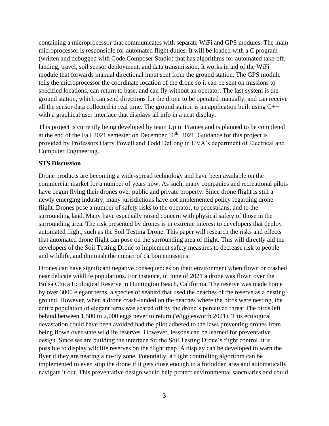containing a microprocessor that communicates with separate WiFi and GPS modules. The main microprocessor is responsible for automated flight duties. It will be loaded with a C program (written and debugged with Code Composer Studio) that has algorithms for automated take-off, landing, travel, soil sensor deployment, and data transmission. It works in aid of the WiFi module that forwards manual directional input sent from the ground station. The GPS module tells the microprocessor the coordinate location of the drone so it can be sent on missions to specified locations, can return to base, and can fly without an operator. The last system is the ground station, which can send directions for the drone to be operated manually, and can receive all the sensor data collected in real time. The ground station is an application built using  $C++$ with a graphical user interface that displays all info in a neat display.

This project is currently being developed by team Up in Frames and is planned to be completed at the end of the Fall 2021 semester on December  $16<sup>th</sup>$ , 2021. Guidance for this project is provided by Professors Harry Powell and Todd DeLong in UVA's department of Electrical and Computer Engineering.

## **STS Discussion**

Drone products are becoming a wide-spread technology and have been available on the commercial market for a number of years now. As such, many companies and recreational pilots have begun flying their drones over public and private property. Since drone flight is still a newly emerging industry, many jurisdictions have not implemented policy regarding drone flight. Drones pose a number of safety risks to the operator, to pedestrians, and to the surrounding land. Many have especially raised concern with physical safety of those in the surrounding area. The risk presented by drones is in extreme interest to developers that deploy automated flight, such as the Soil Testing Drone. This paper will research the risks and effects that automated drone flight can pose on the surrounding area of flight. This will directly aid the developers of the Soil Testing Drone to implement safety measures to decrease risk to people and wildlife, and diminish the impact of carbon emissions.

Drones can have significant negative consequences on their environment when flown or crashed near delicate wildlife populations. For instance, in June of 2021 a drone was flown over the Bolsa Chica Ecological Reserve in Huntington Beach, California. The reserve was made home by over 3000 elegant terns, a species of seabird that used the beaches of the reserve as a nesting ground. However, when a drone crash-landed on the beaches where the birds were nesting, the entire population of elegant terns was scared off by the drone's perceived threat The birds left behind between 1,500 to 2,000 eggs never to return (Wigglesworth 2021). This ecological devastation could have been avoided had the pilot adhered to the laws preventing drones from being flown over state wildlife reserves. However, lessons can be learned for preventative design. Since we are building the interface for the Soil Testing Drone's flight control, it is possible to display wildlife reserves on the flight map. A display can be developed to warn the flyer if they are nearing a no-fly zone. Potentially, a flight controlling algorithm can be implemented to even stop the drone if it gets close enough to a forbidden area and automatically navigate it out. This preventative design would help protect environmental sanctuaries and could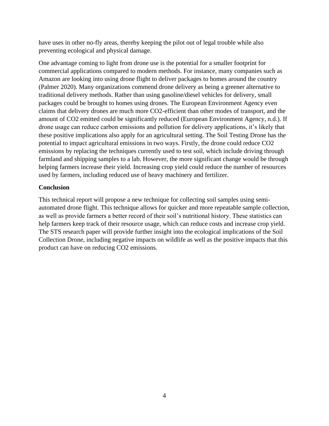have uses in other no-fly areas, thereby keeping the pilot out of legal trouble while also preventing ecological and physical damage.

One advantage coming to light from drone use is the potential for a smaller footprint for commercial applications compared to modern methods. For instance, many companies such as Amazon are looking into using drone flight to deliver packages to homes around the country (Palmer 2020). Many organizations commend drone delivery as being a greener alternative to traditional delivery methods. Rather than using gasoline/diesel vehicles for delivery, small packages could be brought to homes using drones. The European Environment Agency even claims that delivery drones are much more CO2-efficient than other modes of transport, and the amount of CO2 emitted could be significantly reduced (European Environment Agency, n.d.). If drone usage can reduce carbon emissions and pollution for delivery applications, it's likely that these positive implications also apply for an agricultural setting. The Soil Testing Drone has the potential to impact agricultural emissions in two ways. Firstly, the drone could reduce CO2 emissions by replacing the techniques currently used to test soil, which include driving through farmland and shipping samples to a lab. However, the more significant change would be through helping farmers increase their yield. Increasing crop yield could reduce the number of resources used by farmers, including reduced use of heavy machinery and fertilizer.

# **Conclusion**

This technical report will propose a new technique for collecting soil samples using semiautomated drone flight. This technique allows for quicker and more repeatable sample collection, as well as provide farmers a better record of their soil's nutritional history. These statistics can help farmers keep track of their resource usage, which can reduce costs and increase crop yield. The STS research paper will provide further insight into the ecological implications of the Soil Collection Drone, including negative impacts on wildlife as well as the positive impacts that this product can have on reducing CO2 emissions.